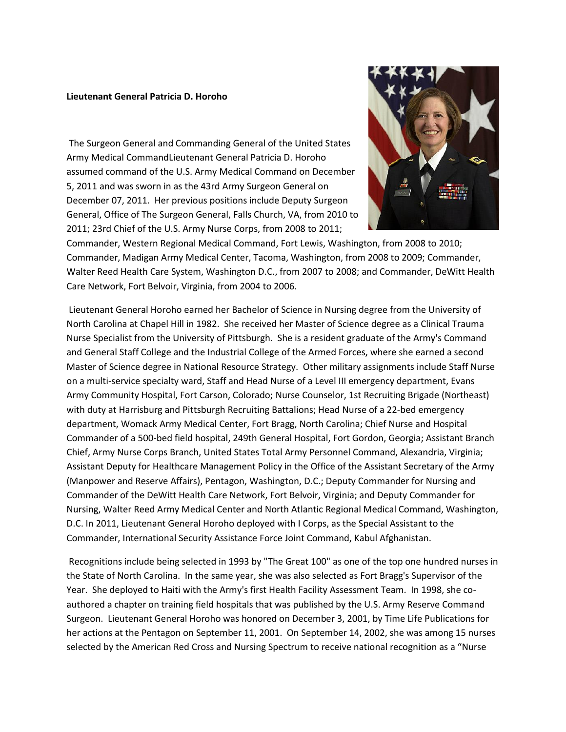## **Lieutenant General Patricia D. Horoho**

The Surgeon General and Commanding General of the United States Army Medical CommandLieutenant General Patricia D. Horoho assumed command of the U.S. Army Medical Command on December 5, 2011 and was sworn in as the 43rd Army Surgeon General on December 07, 2011. Her previous positions include Deputy Surgeon General, Office of The Surgeon General, Falls Church, VA, from 2010 to 2011; 23rd Chief of the U.S. Army Nurse Corps, from 2008 to 2011;



Commander, Western Regional Medical Command, Fort Lewis, Washington, from 2008 to 2010; Commander, Madigan Army Medical Center, Tacoma, Washington, from 2008 to 2009; Commander, Walter Reed Health Care System, Washington D.C., from 2007 to 2008; and Commander, DeWitt Health Care Network, Fort Belvoir, Virginia, from 2004 to 2006.

Lieutenant General Horoho earned her Bachelor of Science in Nursing degree from the University of North Carolina at Chapel Hill in 1982. She received her Master of Science degree as a Clinical Trauma Nurse Specialist from the University of Pittsburgh. She is a resident graduate of the Army's Command and General Staff College and the Industrial College of the Armed Forces, where she earned a second Master of Science degree in National Resource Strategy. Other military assignments include Staff Nurse on a multi-service specialty ward, Staff and Head Nurse of a Level III emergency department, Evans Army Community Hospital, Fort Carson, Colorado; Nurse Counselor, 1st Recruiting Brigade (Northeast) with duty at Harrisburg and Pittsburgh Recruiting Battalions; Head Nurse of a 22-bed emergency department, Womack Army Medical Center, Fort Bragg, North Carolina; Chief Nurse and Hospital Commander of a 500-bed field hospital, 249th General Hospital, Fort Gordon, Georgia; Assistant Branch Chief, Army Nurse Corps Branch, United States Total Army Personnel Command, Alexandria, Virginia; Assistant Deputy for Healthcare Management Policy in the Office of the Assistant Secretary of the Army (Manpower and Reserve Affairs), Pentagon, Washington, D.C.; Deputy Commander for Nursing and Commander of the DeWitt Health Care Network, Fort Belvoir, Virginia; and Deputy Commander for Nursing, Walter Reed Army Medical Center and North Atlantic Regional Medical Command, Washington, D.C. In 2011, Lieutenant General Horoho deployed with I Corps, as the Special Assistant to the Commander, International Security Assistance Force Joint Command, Kabul Afghanistan.

Recognitions include being selected in 1993 by "The Great 100" as one of the top one hundred nurses in the State of North Carolina. In the same year, she was also selected as Fort Bragg's Supervisor of the Year. She deployed to Haiti with the Army's first Health Facility Assessment Team. In 1998, she coauthored a chapter on training field hospitals that was published by the U.S. Army Reserve Command Surgeon. Lieutenant General Horoho was honored on December 3, 2001, by Time Life Publications for her actions at the Pentagon on September 11, 2001. On September 14, 2002, she was among 15 nurses selected by the American Red Cross and Nursing Spectrum to receive national recognition as a "Nurse